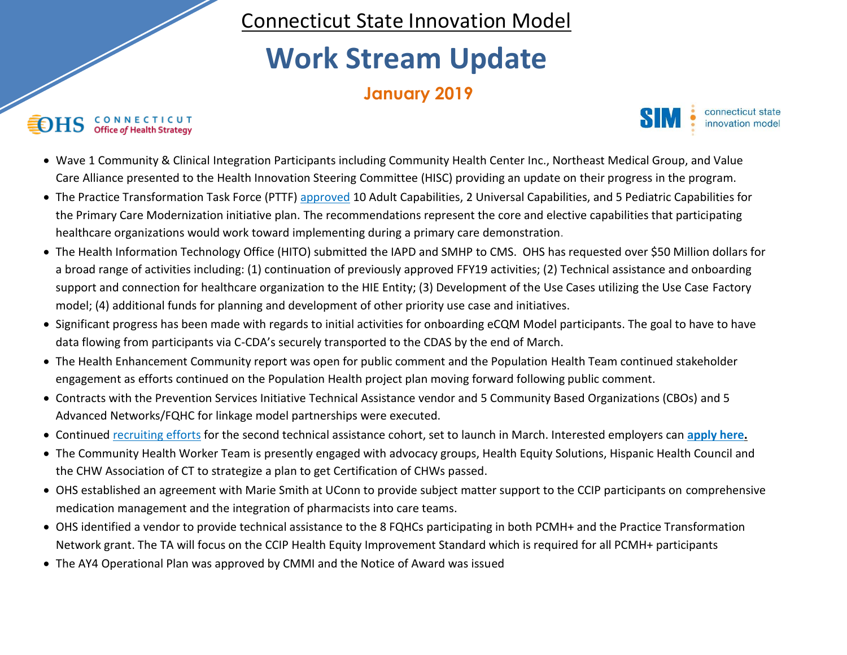Connecticut State Innovation Model

## **Work Stream Update**

## **January 2019**

## C O N N E C T I C U T<br>Office of Health Strategy €OHS



- Wave 1 Community & Clinical Integration Participants including Community Health Center Inc., Northeast Medical Group, and Value Care Alliance presented to the Health Innovation Steering Committee (HISC) providing an update on their progress in the program.
- The Practice Transformation Task Force (PTTF[\) approved](https://portal.ct.gov/-/media/OHS/SIM/PracticeTransformationTaskForce/2019/Meeting-01-29-2019/Presentation_PTTF_20190129_Draft.pdf) 10 Adult Capabilities, 2 Universal Capabilities, and 5 Pediatric Capabilities for the Primary Care Modernization initiative plan. The recommendations represent the core and elective capabilities that participating healthcare organizations would work toward implementing during a primary care demonstration.
- The Health Information Technology Office (HITO) submitted the IAPD and SMHP to CMS. OHS has requested over \$50 Million dollars for a broad range of activities including: (1) continuation of previously approved FFY19 activities; (2) Technical assistance and onboarding support and connection for healthcare organization to the HIE Entity; (3) Development of the Use Cases utilizing the Use Case Factory model; (4) additional funds for planning and development of other priority use case and initiatives.
- Significant progress has been made with regards to initial activities for onboarding eCQM Model participants. The goal to have to have data flowing from participants via C-CDA's securely transported to the CDAS by the end of March.
- The Health Enhancement Community report was open for public comment and the Population Health Team continued stakeholder engagement as efforts continued on the Population Health project plan moving forward following public comment.
- Contracts with the Prevention Services Initiative Technical Assistance vendor and 5 Community Based Organizations (CBOs) and 5 Advanced Networks/FQHC for linkage model partnerships were executed.
- Continued [recruiting efforts](https://portal.ct.gov/-/media/OHS/SIM/VBID-Consortium/VBID-TA-Fact-SheetUpdated-011819.pdf) for the second technical assistance cohort, set to launch in March. Interested employers can **[apply here.](https://www.surveymonkey.com/r/N2HQSDD)**
- The Community Health Worker Team is presently engaged with advocacy groups, Health Equity Solutions, Hispanic Health Council and the CHW Association of CT to strategize a plan to get Certification of CHWs passed.
- OHS established an agreement with Marie Smith at UConn to provide subject matter support to the CCIP participants on comprehensive medication management and the integration of pharmacists into care teams.
- OHS identified a vendor to provide technical assistance to the 8 FQHCs participating in both PCMH+ and the Practice Transformation Network grant. The TA will focus on the CCIP Health Equity Improvement Standard which is required for all PCMH+ participants
- The AY4 Operational Plan was approved by CMMI and the Notice of Award was issued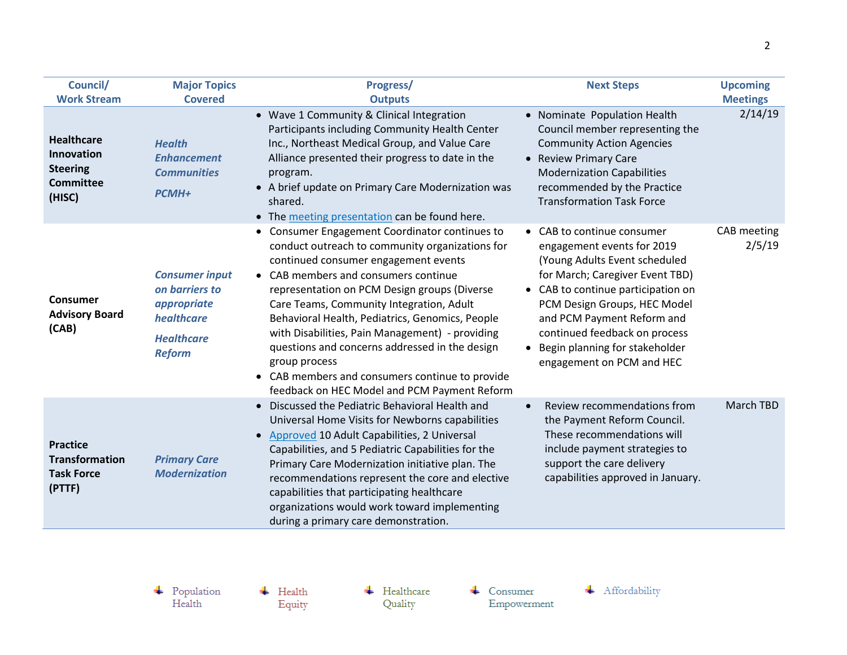| Council/                                                                         | <b>Major Topics</b>                                                                                        | Progress/                                                                                                                                                                                                                                                                                                                                                                                                                                                                                                                                                             | <b>Next Steps</b>                                                                                                                                                                                                                                                                                                                | <b>Upcoming</b>       |
|----------------------------------------------------------------------------------|------------------------------------------------------------------------------------------------------------|-----------------------------------------------------------------------------------------------------------------------------------------------------------------------------------------------------------------------------------------------------------------------------------------------------------------------------------------------------------------------------------------------------------------------------------------------------------------------------------------------------------------------------------------------------------------------|----------------------------------------------------------------------------------------------------------------------------------------------------------------------------------------------------------------------------------------------------------------------------------------------------------------------------------|-----------------------|
| <b>Work Stream</b>                                                               | <b>Covered</b>                                                                                             | <b>Outputs</b>                                                                                                                                                                                                                                                                                                                                                                                                                                                                                                                                                        |                                                                                                                                                                                                                                                                                                                                  | <b>Meetings</b>       |
| <b>Healthcare</b><br>Innovation<br><b>Steering</b><br><b>Committee</b><br>(HISC) | <b>Health</b><br><b>Enhancement</b><br><b>Communities</b><br>PCMH+                                         | • Wave 1 Community & Clinical Integration<br>Participants including Community Health Center<br>Inc., Northeast Medical Group, and Value Care<br>Alliance presented their progress to date in the<br>program.<br>• A brief update on Primary Care Modernization was<br>shared.<br>• The meeting presentation can be found here.                                                                                                                                                                                                                                        | • Nominate Population Health<br>Council member representing the<br><b>Community Action Agencies</b><br>• Review Primary Care<br><b>Modernization Capabilities</b><br>recommended by the Practice<br><b>Transformation Task Force</b>                                                                                             | 2/14/19               |
| Consumer<br><b>Advisory Board</b><br>(CAB)                                       | <b>Consumer input</b><br>on barriers to<br>appropriate<br>healthcare<br><b>Healthcare</b><br><b>Reform</b> | Consumer Engagement Coordinator continues to<br>٠<br>conduct outreach to community organizations for<br>continued consumer engagement events<br>CAB members and consumers continue<br>representation on PCM Design groups (Diverse<br>Care Teams, Community Integration, Adult<br>Behavioral Health, Pediatrics, Genomics, People<br>with Disabilities, Pain Management) - providing<br>questions and concerns addressed in the design<br>group process<br>CAB members and consumers continue to provide<br>$\bullet$<br>feedback on HEC Model and PCM Payment Reform | • CAB to continue consumer<br>engagement events for 2019<br>(Young Adults Event scheduled<br>for March; Caregiver Event TBD)<br>• CAB to continue participation on<br>PCM Design Groups, HEC Model<br>and PCM Payment Reform and<br>continued feedback on process<br>Begin planning for stakeholder<br>engagement on PCM and HEC | CAB meeting<br>2/5/19 |
| <b>Practice</b><br><b>Transformation</b><br><b>Task Force</b><br>(PTTF)          | <b>Primary Care</b><br><b>Modernization</b>                                                                | Discussed the Pediatric Behavioral Health and<br>Universal Home Visits for Newborns capabilities<br>Approved 10 Adult Capabilities, 2 Universal<br>Capabilities, and 5 Pediatric Capabilities for the<br>Primary Care Modernization initiative plan. The<br>recommendations represent the core and elective<br>capabilities that participating healthcare<br>organizations would work toward implementing<br>during a primary care demonstration.                                                                                                                     | Review recommendations from<br>$\bullet$<br>the Payment Reform Council.<br>These recommendations will<br>include payment strategies to<br>support the care delivery<br>capabilities approved in January.                                                                                                                         | March TBD             |

 $\leftarrow$  Health Equity  $\leftarrow$  Healthcare Quality

 $\leftarrow$  Consumer Empowerment

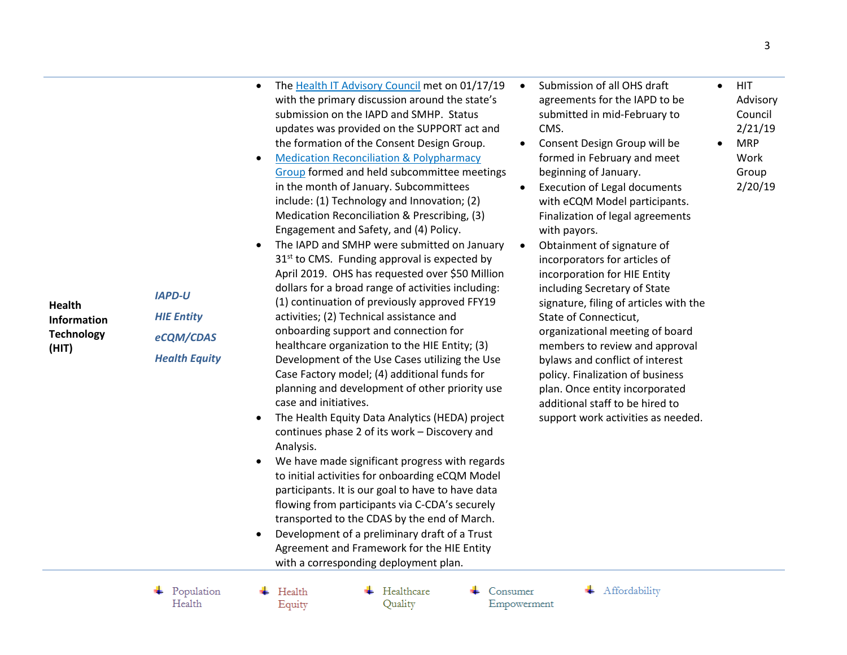*IAPD-U HIE Entity eCQM/CDAS Health Equity*

- Th[e Health IT Advisory Council](https://portal.ct.gov/OHS/HIT-Work-Groups/Health-IT-Advisory-Council/Meeting-Materials) met on 01/17/19 with the primary discussion around the state's submission on the IAPD and SMHP. Status updates was provided on the SUPPORT act and the formation of the Consent Design Group.
- [Medication Reconciliation & Polypharmacy](https://portal.ct.gov/OHS/HIT-Work-Groups/Medication-Reconciliation-and-Polypharmacy-Work-Group/Meeting-Agendas)  [Group](https://portal.ct.gov/OHS/HIT-Work-Groups/Medication-Reconciliation-and-Polypharmacy-Work-Group/Meeting-Agendas) formed and held subcommittee meetings in the month of January. Subcommittees include: (1) Technology and Innovation; (2) Medication Reconciliation & Prescribing, (3) Engagement and Safety, and (4) Policy.
- The IAPD and SMHP were submitted on January 31<sup>st</sup> to CMS. Funding approval is expected by April 2019. OHS has requested over \$50 Million dollars for a broad range of activities including: (1) continuation of previously approved FFY19 activities; (2) Technical assistance and onboarding support and connection for healthcare organization to the HIE Entity; (3) Development of the Use Cases utilizing the Use Case Factory model; (4) additional funds for planning and development of other priority use case and initiatives.
- The Health Equity Data Analytics (HEDA) project continues phase 2 of its work – Discovery and Analysis.
- We have made significant progress with regards to initial activities for onboarding eCQM Model participants. It is our goal to have to have data flowing from participants via C-CDA's securely transported to the CDAS by the end of March.
- Development of a preliminary draft of a Trust Agreement and Framework for the HIE Entity with a corresponding deployment plan.
- Submission of all OHS draft agreements for the IAPD to be submitted in mid-February to CMS.
- Consent Design Group will be formed in February and meet beginning of January.
- Execution of Legal documents with eCQM Model participants. Finalization of legal agreements with payors.
- Obtainment of signature of incorporators for articles of incorporation for HIE Entity including Secretary of State signature, filing of articles with the State of Connecticut, organizational meeting of board members to review and approval bylaws and conflict of interest policy. Finalization of business plan. Once entity incorporated additional staff to be hired to support work activities as needed.

 $\bullet$  HIT Advisory Council 2/21/19

 MRP Work Group 2/20/19

Affordability Empowerment

Consumer

Population

Health

 $\pm$  Health Equity  $\leftarrow$  Healthcare Quality

3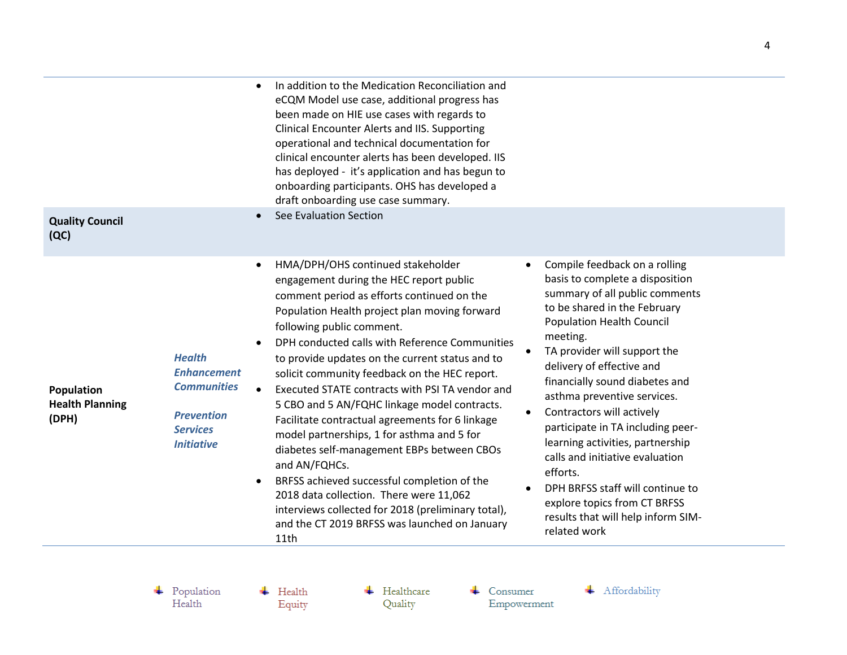| <b>Quality Council</b><br>(QC)                |                                                                                                                        | In addition to the Medication Reconciliation and<br>eCQM Model use case, additional progress has<br>been made on HIE use cases with regards to<br><b>Clinical Encounter Alerts and IIS. Supporting</b><br>operational and technical documentation for<br>clinical encounter alerts has been developed. IIS<br>has deployed - it's application and has begun to<br>onboarding participants. OHS has developed a<br>draft onboarding use case summary.<br>See Evaluation Section                                                                                                                                         |                                                                                                                                                                                                                                                                                                                                                                                                           |
|-----------------------------------------------|------------------------------------------------------------------------------------------------------------------------|------------------------------------------------------------------------------------------------------------------------------------------------------------------------------------------------------------------------------------------------------------------------------------------------------------------------------------------------------------------------------------------------------------------------------------------------------------------------------------------------------------------------------------------------------------------------------------------------------------------------|-----------------------------------------------------------------------------------------------------------------------------------------------------------------------------------------------------------------------------------------------------------------------------------------------------------------------------------------------------------------------------------------------------------|
|                                               |                                                                                                                        | HMA/DPH/OHS continued stakeholder<br>engagement during the HEC report public<br>comment period as efforts continued on the<br>Population Health project plan moving forward<br>following public comment.                                                                                                                                                                                                                                                                                                                                                                                                               | Compile feedback on a rolling<br>basis to complete a disposition<br>summary of all public comments<br>to be shared in the February<br><b>Population Health Council</b><br>meeting.                                                                                                                                                                                                                        |
| Population<br><b>Health Planning</b><br>(DPH) | <b>Health</b><br><b>Enhancement</b><br><b>Communities</b><br><b>Prevention</b><br><b>Services</b><br><b>Initiative</b> | DPH conducted calls with Reference Communities<br>to provide updates on the current status and to<br>solicit community feedback on the HEC report.<br>Executed STATE contracts with PSI TA vendor and<br>5 CBO and 5 AN/FQHC linkage model contracts.<br>Facilitate contractual agreements for 6 linkage<br>model partnerships, 1 for asthma and 5 for<br>diabetes self-management EBPs between CBOs<br>and AN/FQHCs.<br>BRFSS achieved successful completion of the<br>2018 data collection. There were 11,062<br>interviews collected for 2018 (preliminary total),<br>and the CT 2019 BRFSS was launched on January | TA provider will support the<br>delivery of effective and<br>financially sound diabetes and<br>asthma preventive services.<br>Contractors will actively<br>participate in TA including peer-<br>learning activities, partnership<br>calls and initiative evaluation<br>efforts.<br>DPH BRFSS staff will continue to<br>explore topics from CT BRFSS<br>results that will help inform SIM-<br>related work |

 $\begin{tabular}{c} \textbf{4} \quad Population \\ Health \end{tabular}$ 

 $\leftarrow$  Health Equity  $\leftarrow$  Healthcare Quality

 $\leftarrow$  Consumer Empowerment

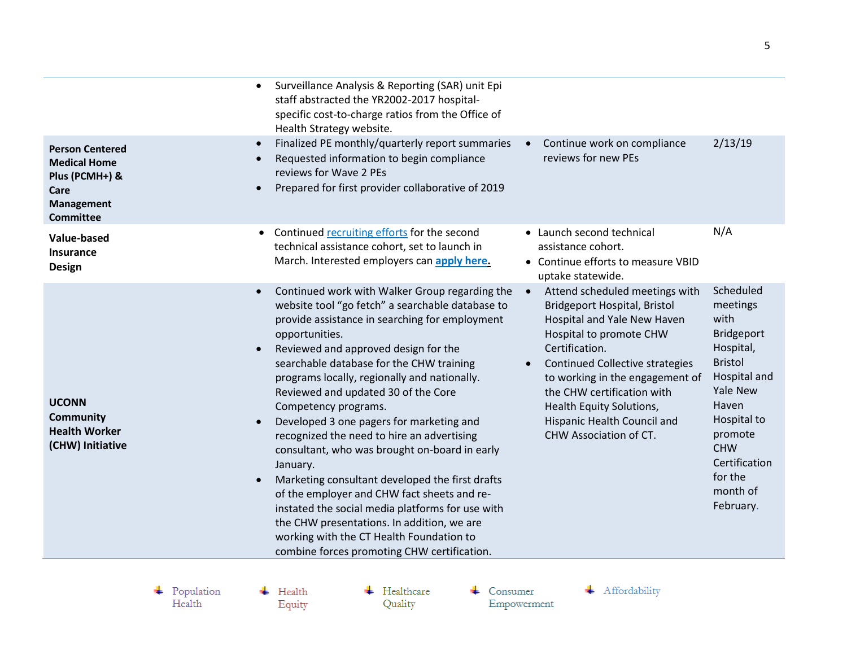| Surveillance Analysis & Reporting (SAR) unit Epi<br>staff abstracted the YR2002-2017 hospital-<br>specific cost-to-charge ratios from the Office of<br>Health Strategy website. |                                                                 |         |
|---------------------------------------------------------------------------------------------------------------------------------------------------------------------------------|-----------------------------------------------------------------|---------|
| Finalized PE monthly/quarterly report summaries<br>Requested information to begin compliance<br>reviews for Wave 2 PEs<br>Prepared for first provider collaborative of 2019     | Continue work on compliance<br>$\bullet$<br>reviews for new PEs | 2/13/19 |
|                                                                                                                                                                                 |                                                                 | .       |

| Care<br><b>Management</b><br><b>Committee</b>                                | Prepared for first provider collaborative of 2019                                                                                                                                                                                                                                                                                                                                                                                                                                                                                                                                                                                                                                                                                                                                                                               |                                                                                                                                                                                                                                                                                                                                     |                                                                                                                                                                                                                            |
|------------------------------------------------------------------------------|---------------------------------------------------------------------------------------------------------------------------------------------------------------------------------------------------------------------------------------------------------------------------------------------------------------------------------------------------------------------------------------------------------------------------------------------------------------------------------------------------------------------------------------------------------------------------------------------------------------------------------------------------------------------------------------------------------------------------------------------------------------------------------------------------------------------------------|-------------------------------------------------------------------------------------------------------------------------------------------------------------------------------------------------------------------------------------------------------------------------------------------------------------------------------------|----------------------------------------------------------------------------------------------------------------------------------------------------------------------------------------------------------------------------|
| <b>Value-based</b><br><b>Insurance</b><br><b>Design</b>                      | Continued recruiting efforts for the second<br>technical assistance cohort, set to launch in<br>March. Interested employers can apply here.                                                                                                                                                                                                                                                                                                                                                                                                                                                                                                                                                                                                                                                                                     | • Launch second technical<br>assistance cohort.<br>• Continue efforts to measure VBID<br>uptake statewide.                                                                                                                                                                                                                          | N/A                                                                                                                                                                                                                        |
| <b>UCONN</b><br><b>Community</b><br><b>Health Worker</b><br>(CHW) Initiative | Continued work with Walker Group regarding the<br>website tool "go fetch" a searchable database to<br>provide assistance in searching for employment<br>opportunities.<br>Reviewed and approved design for the<br>searchable database for the CHW training<br>programs locally, regionally and nationally.<br>Reviewed and updated 30 of the Core<br>Competency programs.<br>Developed 3 one pagers for marketing and<br>recognized the need to hire an advertising<br>consultant, who was brought on-board in early<br>January.<br>Marketing consultant developed the first drafts<br>of the employer and CHW fact sheets and re-<br>instated the social media platforms for use with<br>the CHW presentations. In addition, we are<br>working with the CT Health Foundation to<br>combine forces promoting CHW certification. | Attend scheduled meetings with<br>Bridgeport Hospital, Bristol<br>Hospital and Yale New Haven<br>Hospital to promote CHW<br>Certification.<br>Continued Collective strategies<br>to working in the engagement of<br>the CHW certification with<br>Health Equity Solutions,<br>Hispanic Health Council and<br>CHW Association of CT. | Scheduled<br>meetings<br>with<br><b>Bridgeport</b><br>Hospital,<br><b>Bristol</b><br>Hospital and<br><b>Yale New</b><br>Haven<br>Hospital to<br>promote<br><b>CHW</b><br>Certification<br>for the<br>month of<br>February. |

 $\blacktriangleright$  Population Health

 $\overline{\phantom{a}}$  Health Equity

 $\bullet$ 

 $\bullet$ 

 $\bullet$ 

 $\bullet$ 

**Person Centered** 

**Medical Home** 

Plus (PCMH+) &

 $\leftarrow$  Healthcare Quality

 $\leftarrow$  Consumer Empowerment

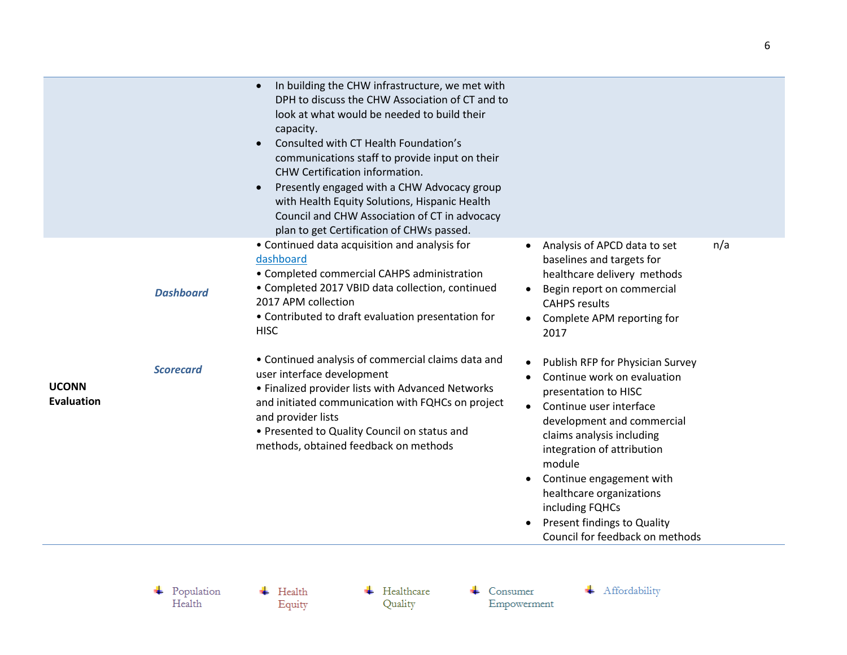|                                   |                  | In building the CHW infrastructure, we met with<br>DPH to discuss the CHW Association of CT and to<br>look at what would be needed to build their<br>capacity.<br>Consulted with CT Health Foundation's<br>communications staff to provide input on their<br>CHW Certification information.<br>Presently engaged with a CHW Advocacy group<br>$\bullet$<br>with Health Equity Solutions, Hispanic Health<br>Council and CHW Association of CT in advocacy<br>plan to get Certification of CHWs passed. |                                                                                                                                                                                                                                                                                                                                                                                 |     |
|-----------------------------------|------------------|--------------------------------------------------------------------------------------------------------------------------------------------------------------------------------------------------------------------------------------------------------------------------------------------------------------------------------------------------------------------------------------------------------------------------------------------------------------------------------------------------------|---------------------------------------------------------------------------------------------------------------------------------------------------------------------------------------------------------------------------------------------------------------------------------------------------------------------------------------------------------------------------------|-----|
|                                   | <b>Dashboard</b> | • Continued data acquisition and analysis for<br>dashboard<br>• Completed commercial CAHPS administration<br>• Completed 2017 VBID data collection, continued<br>2017 APM collection<br>• Contributed to draft evaluation presentation for<br><b>HISC</b>                                                                                                                                                                                                                                              | Analysis of APCD data to set<br>baselines and targets for<br>healthcare delivery methods<br>Begin report on commercial<br>$\bullet$<br><b>CAHPS results</b><br>Complete APM reporting for<br>2017                                                                                                                                                                               | n/a |
| <b>UCONN</b><br><b>Evaluation</b> | <b>Scorecard</b> | • Continued analysis of commercial claims data and<br>user interface development<br>• Finalized provider lists with Advanced Networks<br>and initiated communication with FQHCs on project<br>and provider lists<br>• Presented to Quality Council on status and<br>methods, obtained feedback on methods                                                                                                                                                                                              | Publish RFP for Physician Survey<br>Continue work on evaluation<br>presentation to HISC<br>Continue user interface<br>$\bullet$<br>development and commercial<br>claims analysis including<br>integration of attribution<br>module<br>Continue engagement with<br>healthcare organizations<br>including FQHCs<br>Present findings to Quality<br>Council for feedback on methods |     |

 $\begin{tabular}{c} \textbf{4} \quad Population \\ Health \end{tabular}$ 

 $\leftarrow$  Health Equity  $\leftarrow$  Healthcare Quality

 $\leftarrow$  Consumer Empowerment + Affordability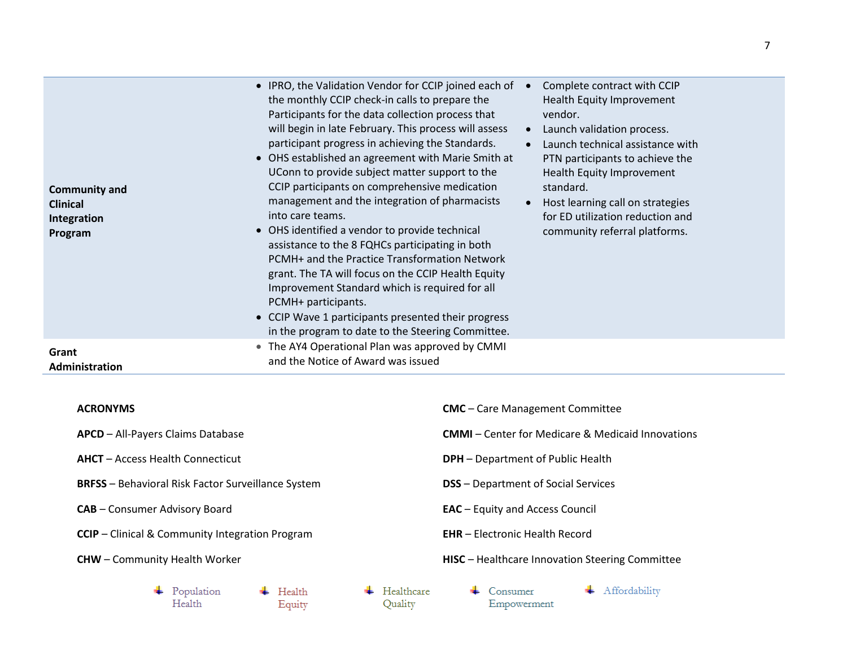| <b>Community and</b><br><b>Clinical</b><br>Integration<br>Program | • IPRO, the Validation Vendor for CCIP joined each of<br>the monthly CCIP check-in calls to prepare the<br>Participants for the data collection process that<br>will begin in late February. This process will assess<br>participant progress in achieving the Standards.<br>• OHS established an agreement with Marie Smith at<br>UConn to provide subject matter support to the<br>CCIP participants on comprehensive medication<br>management and the integration of pharmacists<br>into care teams.<br>• OHS identified a vendor to provide technical<br>assistance to the 8 FQHCs participating in both<br>PCMH+ and the Practice Transformation Network<br>grant. The TA will focus on the CCIP Health Equity<br>Improvement Standard which is required for all<br>PCMH+ participants.<br>• CCIP Wave 1 participants presented their progress<br>in the program to date to the Steering Committee. | Complete contract with CCIP<br>Health Equity Improvement<br>vendor.<br>Launch validation process.<br>$\bullet$<br>Launch technical assistance with<br>PTN participants to achieve the<br>Health Equity Improvement<br>standard.<br>Host learning call on strategies<br>for ED utilization reduction and<br>community referral platforms. |
|-------------------------------------------------------------------|----------------------------------------------------------------------------------------------------------------------------------------------------------------------------------------------------------------------------------------------------------------------------------------------------------------------------------------------------------------------------------------------------------------------------------------------------------------------------------------------------------------------------------------------------------------------------------------------------------------------------------------------------------------------------------------------------------------------------------------------------------------------------------------------------------------------------------------------------------------------------------------------------------|------------------------------------------------------------------------------------------------------------------------------------------------------------------------------------------------------------------------------------------------------------------------------------------------------------------------------------------|
| Grant<br>Administration                                           | • The AY4 Operational Plan was approved by CMMI<br>and the Notice of Award was issued                                                                                                                                                                                                                                                                                                                                                                                                                                                                                                                                                                                                                                                                                                                                                                                                                    |                                                                                                                                                                                                                                                                                                                                          |

## **ACRONYMS**

**APCD** – All-Payers Claims Database

- **AHCT** Access Health Connecticut
- **BRFSS** Behavioral Risk Factor Surveillance System
- **CAB** Consumer Advisory Board
- **CCIP** Clinical & Community Integration Program
- **CHW** Community Health Worker
	- $\blacktriangleright$  Population  $\leftarrow$  Health Health Equity
- $\leftarrow$  Healthcare Quality
- **CMC** Care Management Committee **CMMI** – Center for Medicare & Medicaid Innovations **DPH** – Department of Public Health **DSS** – Department of Social Services **EAC** – Equity and Access Council
- **EHR** Electronic Health Record
- **HISC** Healthcare Innovation Steering Committee
	- $\leftarrow$  Consumer Empowerment